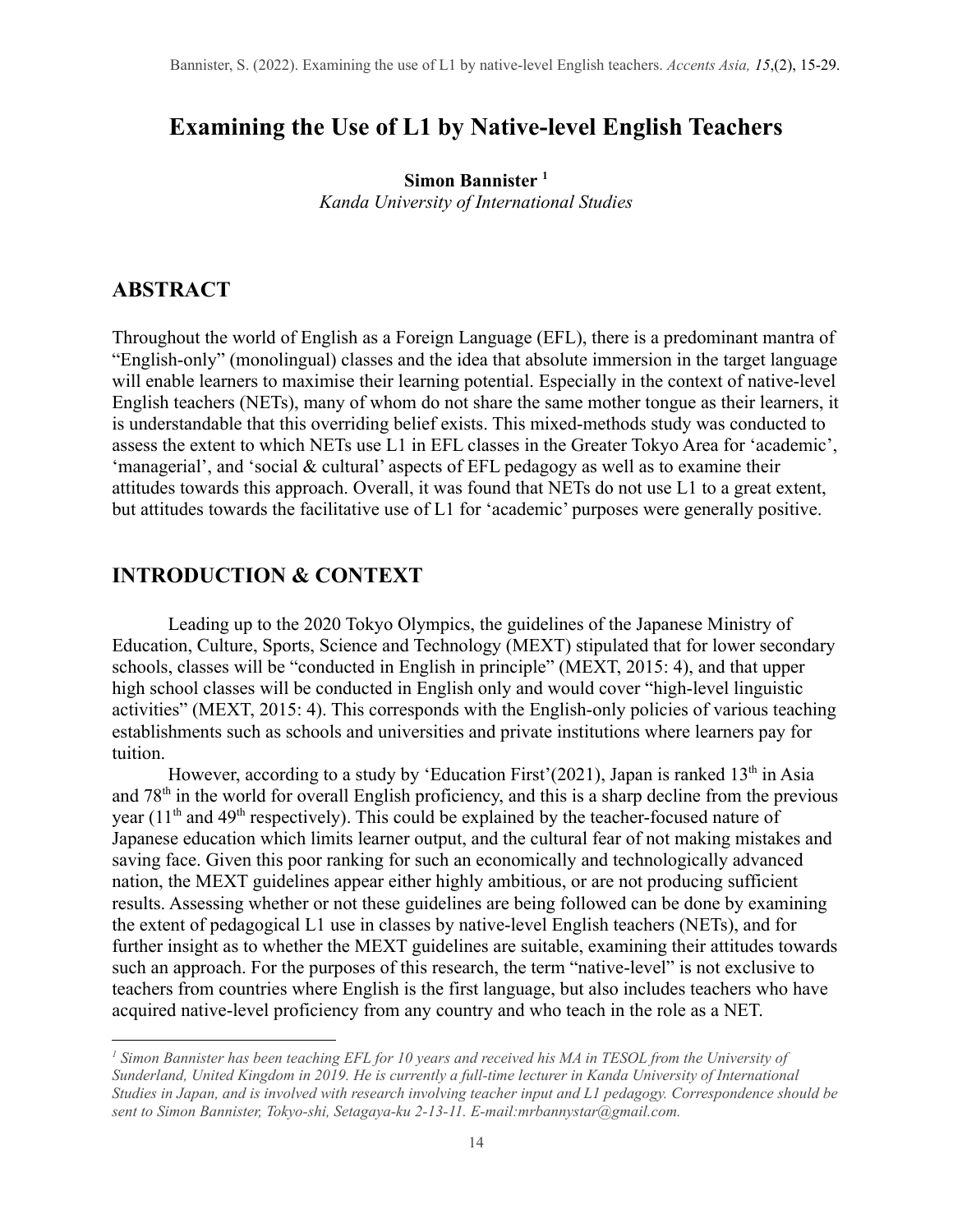# **Examining the Use of L1 by Native-level English Teachers**

**Simon Bannister <sup>1</sup>** *Kanda University of International Studies*

### **ABSTRACT**

Throughout the world of English as a Foreign Language (EFL), there is a predominant mantra of "English-only" (monolingual) classes and the idea that absolute immersion in the target language will enable learners to maximise their learning potential. Especially in the context of native-level English teachers (NETs), many of whom do not share the same mother tongue as their learners, it is understandable that this overriding belief exists. This mixed-methods study was conducted to assess the extent to which NETs use L1 in EFL classes in the Greater Tokyo Area for 'academic', 'managerial', and 'social & cultural' aspects of EFL pedagogy as well as to examine their attitudes towards this approach. Overall, it was found that NETs do not use L1 to a great extent, but attitudes towards the facilitative use of L1 for 'academic' purposes were generally positive.

### **INTRODUCTION & CONTEXT**

Leading up to the 2020 Tokyo Olympics, the guidelines of the Japanese Ministry of Education, Culture, Sports, Science and Technology (MEXT) stipulated that for lower secondary schools, classes will be "conducted in English in principle" (MEXT, 2015: 4), and that upper high school classes will be conducted in English only and would cover "high-level linguistic activities" (MEXT, 2015: 4). This corresponds with the English-only policies of various teaching establishments such as schools and universities and private institutions where learners pay for tuition.

However, according to a study by 'Education First' (2021), Japan is ranked  $13<sup>th</sup>$  in Asia and 78th in the world for overall English proficiency, and this is a sharp decline from the previous year  $(11<sup>th</sup>$  and 49<sup>th</sup> respectively). This could be explained by the teacher-focused nature of Japanese education which limits learner output, and the cultural fear of not making mistakes and saving face. Given this poor ranking for such an economically and technologically advanced nation, the MEXT guidelines appear either highly ambitious, or are not producing sufficient results. Assessing whether or not these guidelines are being followed can be done by examining the extent of pedagogical L1 use in classes by native-level English teachers (NETs), and for further insight as to whether the MEXT guidelines are suitable, examining their attitudes towards such an approach. For the purposes of this research, the term "native-level" is not exclusive to teachers from countries where English is the first language, but also includes teachers who have acquired native-level proficiency from any country and who teach in the role as a NET.

<sup>&</sup>lt;sup>1</sup> Simon Bannister has been teaching EFL for 10 years and received his MA in TESOL from the University of *Sunderland, United Kingdom in 2019. He is currently a full-time lecturer in Kanda University of International* Studies in Japan, and is involved with research involving teacher input and L1 pedagogy. Correspondence should be *sent to Simon Bannister, Tokyo-shi, Setagaya-ku 2-13-11. E-mail:mrbannystar@gmail.com.*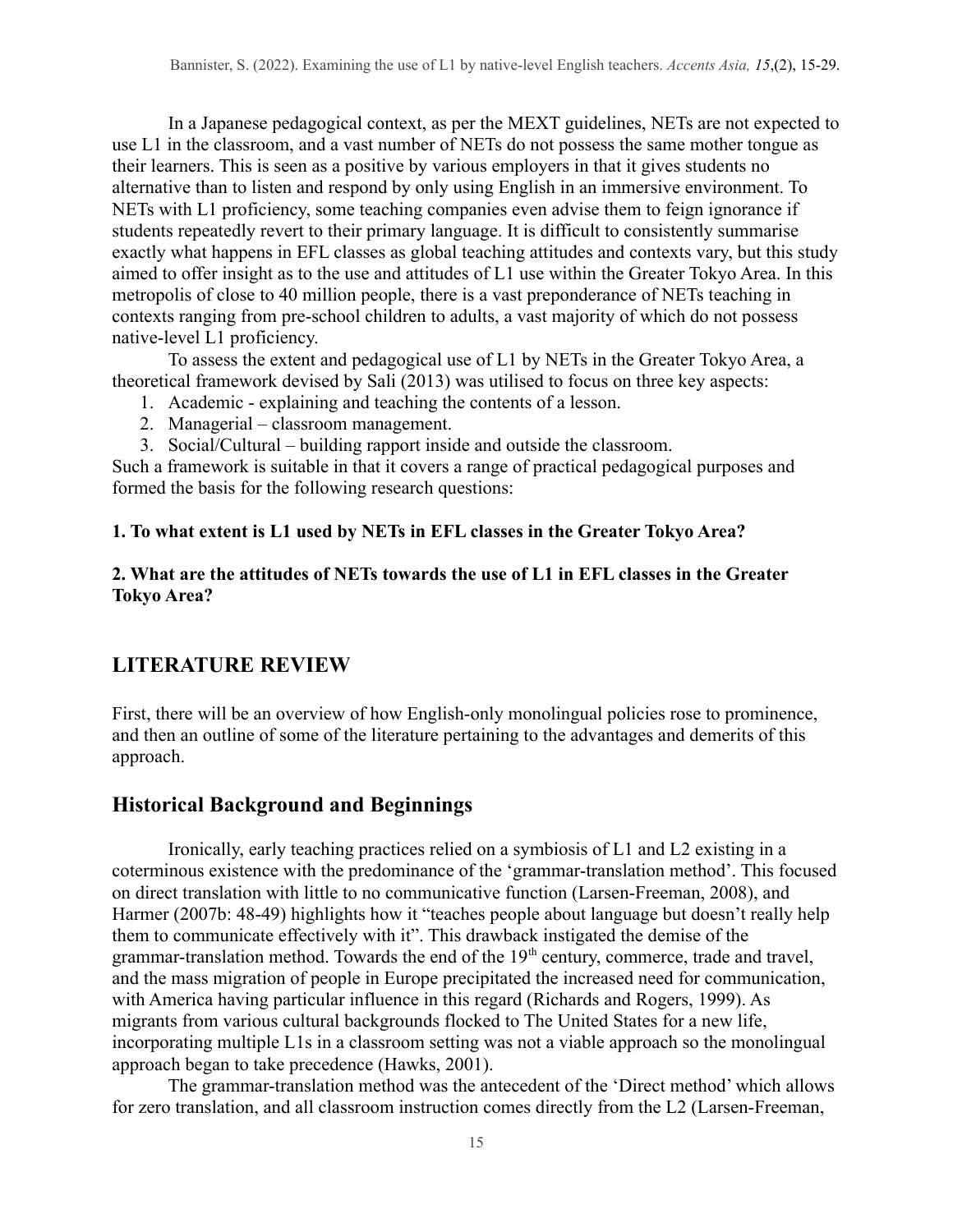In a Japanese pedagogical context, as per the MEXT guidelines, NETs are not expected to use L1 in the classroom, and a vast number of NETs do not possess the same mother tongue as their learners. This is seen as a positive by various employers in that it gives students no alternative than to listen and respond by only using English in an immersive environment. To NETs with L1 proficiency, some teaching companies even advise them to feign ignorance if students repeatedly revert to their primary language. It is difficult to consistently summarise exactly what happens in EFL classes as global teaching attitudes and contexts vary, but this study aimed to offer insight as to the use and attitudes of L1 use within the Greater Tokyo Area. In this metropolis of close to 40 million people, there is a vast preponderance of NETs teaching in contexts ranging from pre-school children to adults, a vast majority of which do not possess native-level L1 proficiency.

To assess the extent and pedagogical use of L1 by NETs in the Greater Tokyo Area, a theoretical framework devised by Sali (2013) was utilised to focus on three key aspects:

- 1. Academic explaining and teaching the contents of a lesson.
- 2. Managerial classroom management.
- 3. Social/Cultural building rapport inside and outside the classroom.

Such a framework is suitable in that it covers a range of practical pedagogical purposes and formed the basis for the following research questions:

### **1. To what extent is L1 used by NETs in EFL classes in the Greater Tokyo Area?**

### **2. What are the attitudes of NETs towards the use of L1 in EFL classes in the Greater Tokyo Area?**

# **LITERATURE REVIEW**

First, there will be an overview of how English-only monolingual policies rose to prominence, and then an outline of some of the literature pertaining to the advantages and demerits of this approach.

# **Historical Background and Beginnings**

Ironically, early teaching practices relied on a symbiosis of L1 and L2 existing in a coterminous existence with the predominance of the 'grammar-translation method'. This focused on direct translation with little to no communicative function (Larsen-Freeman, 2008), and Harmer (2007b: 48-49) highlights how it "teaches people about language but doesn't really help them to communicate effectively with it". This drawback instigated the demise of the grammar-translation method. Towards the end of the 19<sup>th</sup> century, commerce, trade and travel, and the mass migration of people in Europe precipitated the increased need for communication, with America having particular influence in this regard (Richards and Rogers, 1999). As migrants from various cultural backgrounds flocked to The United States for a new life, incorporating multiple L1s in a classroom setting was not a viable approach so the monolingual approach began to take precedence (Hawks, 2001).

The grammar-translation method was the antecedent of the 'Direct method' which allows for zero translation, and all classroom instruction comes directly from the L2 (Larsen-Freeman,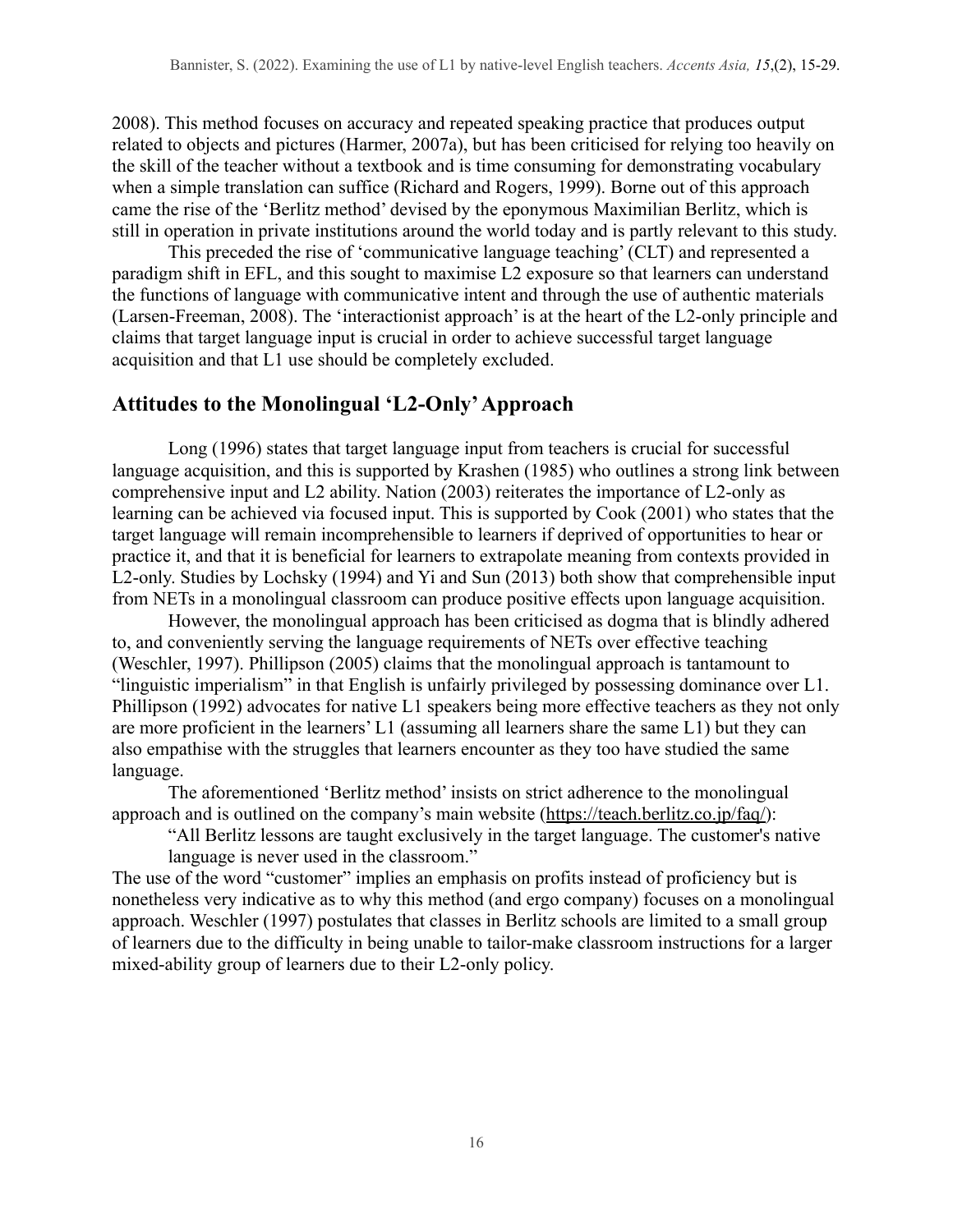2008). This method focuses on accuracy and repeated speaking practice that produces output related to objects and pictures (Harmer, 2007a), but has been criticised for relying too heavily on the skill of the teacher without a textbook and is time consuming for demonstrating vocabulary when a simple translation can suffice (Richard and Rogers, 1999). Borne out of this approach came the rise of the 'Berlitz method' devised by the eponymous Maximilian Berlitz, which is still in operation in private institutions around the world today and is partly relevant to this study.

This preceded the rise of 'communicative language teaching' (CLT) and represented a paradigm shift in EFL, and this sought to maximise L2 exposure so that learners can understand the functions of language with communicative intent and through the use of authentic materials (Larsen-Freeman, 2008). The 'interactionist approach' is at the heart of the L2-only principle and claims that target language input is crucial in order to achieve successful target language acquisition and that L1 use should be completely excluded.

## **Attitudes to the Monolingual 'L2-Only'Approach**

Long (1996) states that target language input from teachers is crucial for successful language acquisition, and this is supported by Krashen (1985) who outlines a strong link between comprehensive input and L2 ability. Nation (2003) reiterates the importance of L2-only as learning can be achieved via focused input. This is supported by Cook (2001) who states that the target language will remain incomprehensible to learners if deprived of opportunities to hear or practice it, and that it is beneficial for learners to extrapolate meaning from contexts provided in L2-only. Studies by Lochsky (1994) and Yi and Sun (2013) both show that comprehensible input from NETs in a monolingual classroom can produce positive effects upon language acquisition.

However, the monolingual approach has been criticised as dogma that is blindly adhered to, and conveniently serving the language requirements of NETs over effective teaching (Weschler, 1997). Phillipson (2005) claims that the monolingual approach is tantamount to "linguistic imperialism" in that English is unfairly privileged by possessing dominance over L1. Phillipson (1992) advocates for native L1 speakers being more effective teachers as they not only are more proficient in the learners' L1 (assuming all learners share the same L1) but they can also empathise with the struggles that learners encounter as they too have studied the same language.

The aforementioned 'Berlitz method' insists on strict adherence to the monolingual approach and is outlined on the company's main website ([https://teach.berlitz.co.jp/faq/\)](https://teach.berlitz.co.jp/faq/):

"All Berlitz lessons are taught exclusively in the target language. The customer's native language is never used in the classroom."

The use of the word "customer" implies an emphasis on profits instead of proficiency but is nonetheless very indicative as to why this method (and ergo company) focuses on a monolingual approach. Weschler (1997) postulates that classes in Berlitz schools are limited to a small group of learners due to the difficulty in being unable to tailor-make classroom instructions for a larger mixed-ability group of learners due to their L2-only policy.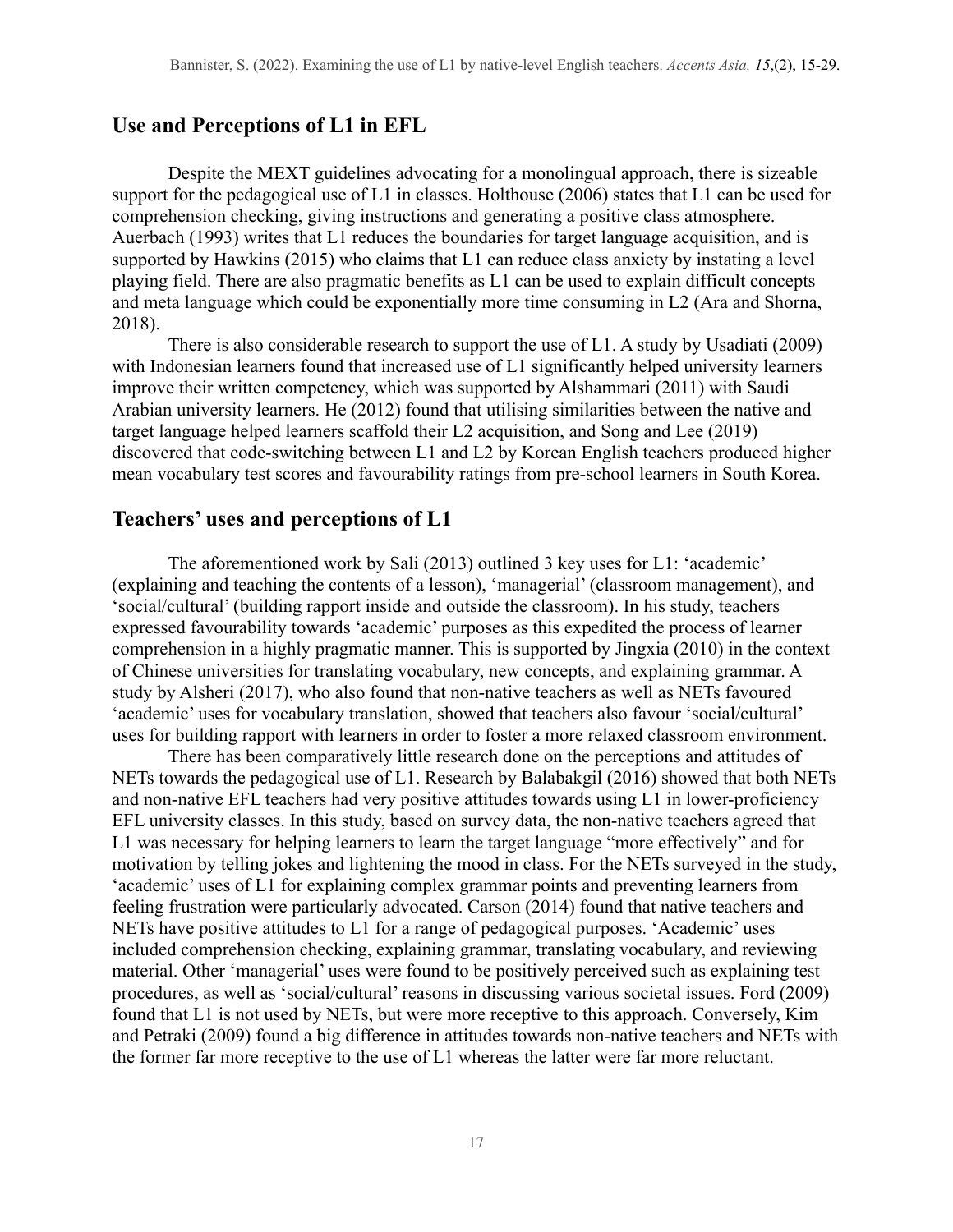## **Use and Perceptions of L1 in EFL**

Despite the MEXT guidelines advocating for a monolingual approach, there is sizeable support for the pedagogical use of L1 in classes. Holthouse (2006) states that L1 can be used for comprehension checking, giving instructions and generating a positive class atmosphere. Auerbach (1993) writes that L1 reduces the boundaries for target language acquisition, and is supported by Hawkins (2015) who claims that L1 can reduce class anxiety by instating a level playing field. There are also pragmatic benefits as L1 can be used to explain difficult concepts and meta language which could be exponentially more time consuming in L2 (Ara and Shorna, 2018).

There is also considerable research to support the use of L1. A study by Usadiati (2009) with Indonesian learners found that increased use of L1 significantly helped university learners improve their written competency, which was supported by Alshammari (2011) with Saudi Arabian university learners. He (2012) found that utilising similarities between the native and target language helped learners scaffold their L2 acquisition, and Song and Lee (2019) discovered that code-switching between L1 and L2 by Korean English teachers produced higher mean vocabulary test scores and favourability ratings from pre-school learners in South Korea.

### **Teachers' uses and perceptions of L1**

The aforementioned work by Sali (2013) outlined 3 key uses for L1: 'academic' (explaining and teaching the contents of a lesson), 'managerial' (classroom management), and 'social/cultural' (building rapport inside and outside the classroom). In his study, teachers expressed favourability towards 'academic' purposes as this expedited the process of learner comprehension in a highly pragmatic manner. This is supported by Jingxia (2010) in the context of Chinese universities for translating vocabulary, new concepts, and explaining grammar. A study by Alsheri (2017), who also found that non-native teachers as well as NETs favoured 'academic' uses for vocabulary translation, showed that teachers also favour 'social/cultural' uses for building rapport with learners in order to foster a more relaxed classroom environment.

There has been comparatively little research done on the perceptions and attitudes of NETs towards the pedagogical use of L1. Research by Balabakgil (2016) showed that both NETs and non-native EFL teachers had very positive attitudes towards using L1 in lower-proficiency EFL university classes. In this study, based on survey data, the non-native teachers agreed that L1 was necessary for helping learners to learn the target language "more effectively" and for motivation by telling jokes and lightening the mood in class. For the NETs surveyed in the study, 'academic' uses of L1 for explaining complex grammar points and preventing learners from feeling frustration were particularly advocated. Carson (2014) found that native teachers and NETs have positive attitudes to L1 for a range of pedagogical purposes. 'Academic' uses included comprehension checking, explaining grammar, translating vocabulary, and reviewing material. Other 'managerial' uses were found to be positively perceived such as explaining test procedures, as well as 'social/cultural' reasons in discussing various societal issues. Ford (2009) found that L1 is not used by NETs, but were more receptive to this approach. Conversely, Kim and Petraki (2009) found a big difference in attitudes towards non-native teachers and NETs with the former far more receptive to the use of L1 whereas the latter were far more reluctant.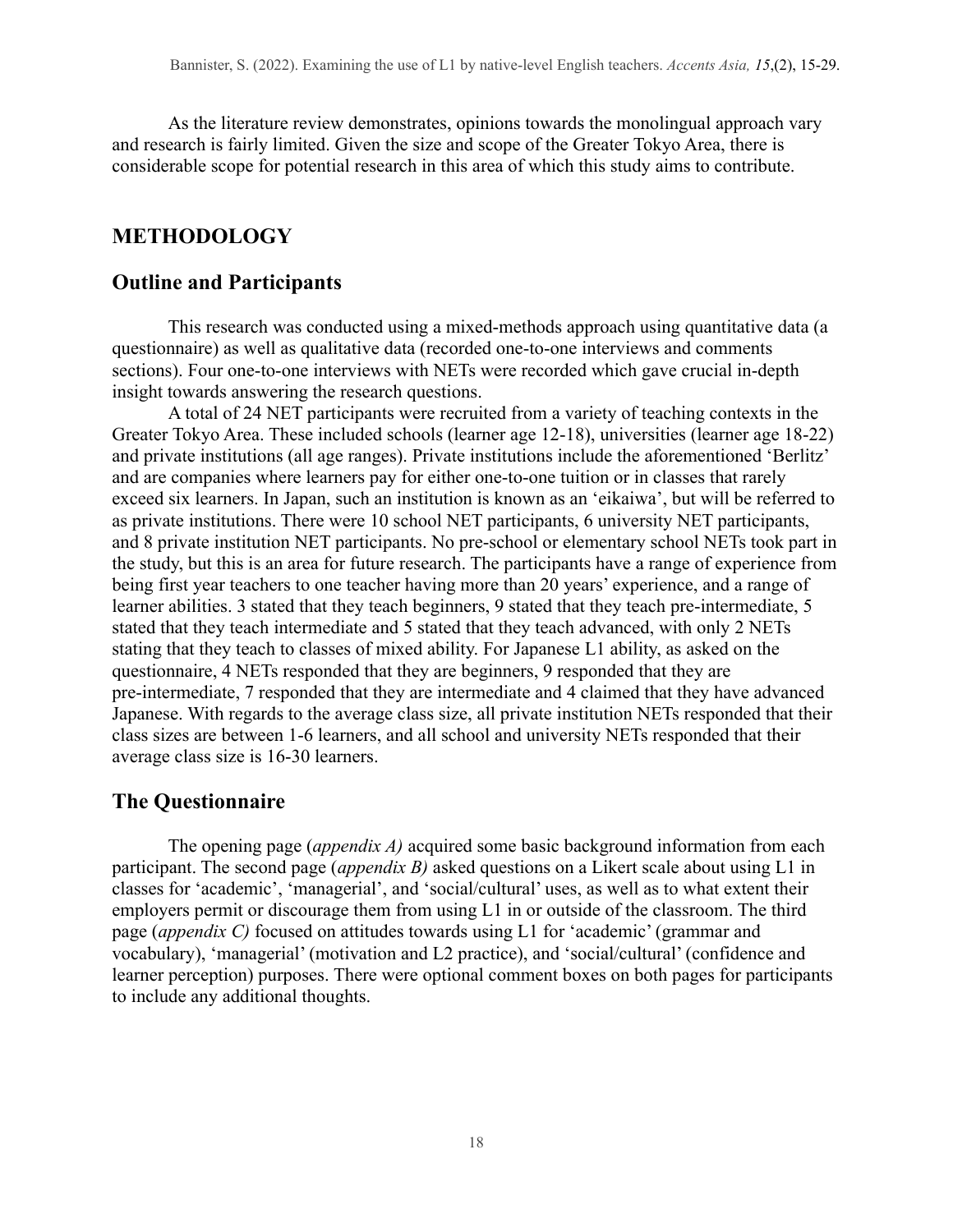As the literature review demonstrates, opinions towards the monolingual approach vary and research is fairly limited. Given the size and scope of the Greater Tokyo Area, there is considerable scope for potential research in this area of which this study aims to contribute.

## **METHODOLOGY**

## **Outline and Participants**

This research was conducted using a mixed-methods approach using quantitative data (a questionnaire) as well as qualitative data (recorded one-to-one interviews and comments sections). Four one-to-one interviews with NETs were recorded which gave crucial in-depth insight towards answering the research questions.

A total of 24 NET participants were recruited from a variety of teaching contexts in the Greater Tokyo Area. These included schools (learner age 12-18), universities (learner age 18-22) and private institutions (all age ranges). Private institutions include the aforementioned 'Berlitz' and are companies where learners pay for either one-to-one tuition or in classes that rarely exceed six learners. In Japan, such an institution is known as an 'eikaiwa', but will be referred to as private institutions. There were 10 school NET participants, 6 university NET participants, and 8 private institution NET participants. No pre-school or elementary school NETs took part in the study, but this is an area for future research. The participants have a range of experience from being first year teachers to one teacher having more than 20 years' experience, and a range of learner abilities. 3 stated that they teach beginners, 9 stated that they teach pre-intermediate, 5 stated that they teach intermediate and 5 stated that they teach advanced, with only 2 NETs stating that they teach to classes of mixed ability. For Japanese L1 ability, as asked on the questionnaire, 4 NETs responded that they are beginners, 9 responded that they are pre-intermediate, 7 responded that they are intermediate and 4 claimed that they have advanced Japanese. With regards to the average class size, all private institution NETs responded that their class sizes are between 1-6 learners, and all school and university NETs responded that their average class size is 16-30 learners.

## **The Questionnaire**

The opening page (*appendix A)* acquired some basic background information from each participant. The second page (*appendix B)* asked questions on a Likert scale about using L1 in classes for 'academic', 'managerial', and 'social/cultural' uses, as well as to what extent their employers permit or discourage them from using L1 in or outside of the classroom. The third page (*appendix C)* focused on attitudes towards using L1 for 'academic' (grammar and vocabulary), 'managerial' (motivation and L2 practice), and 'social/cultural' (confidence and learner perception) purposes. There were optional comment boxes on both pages for participants to include any additional thoughts.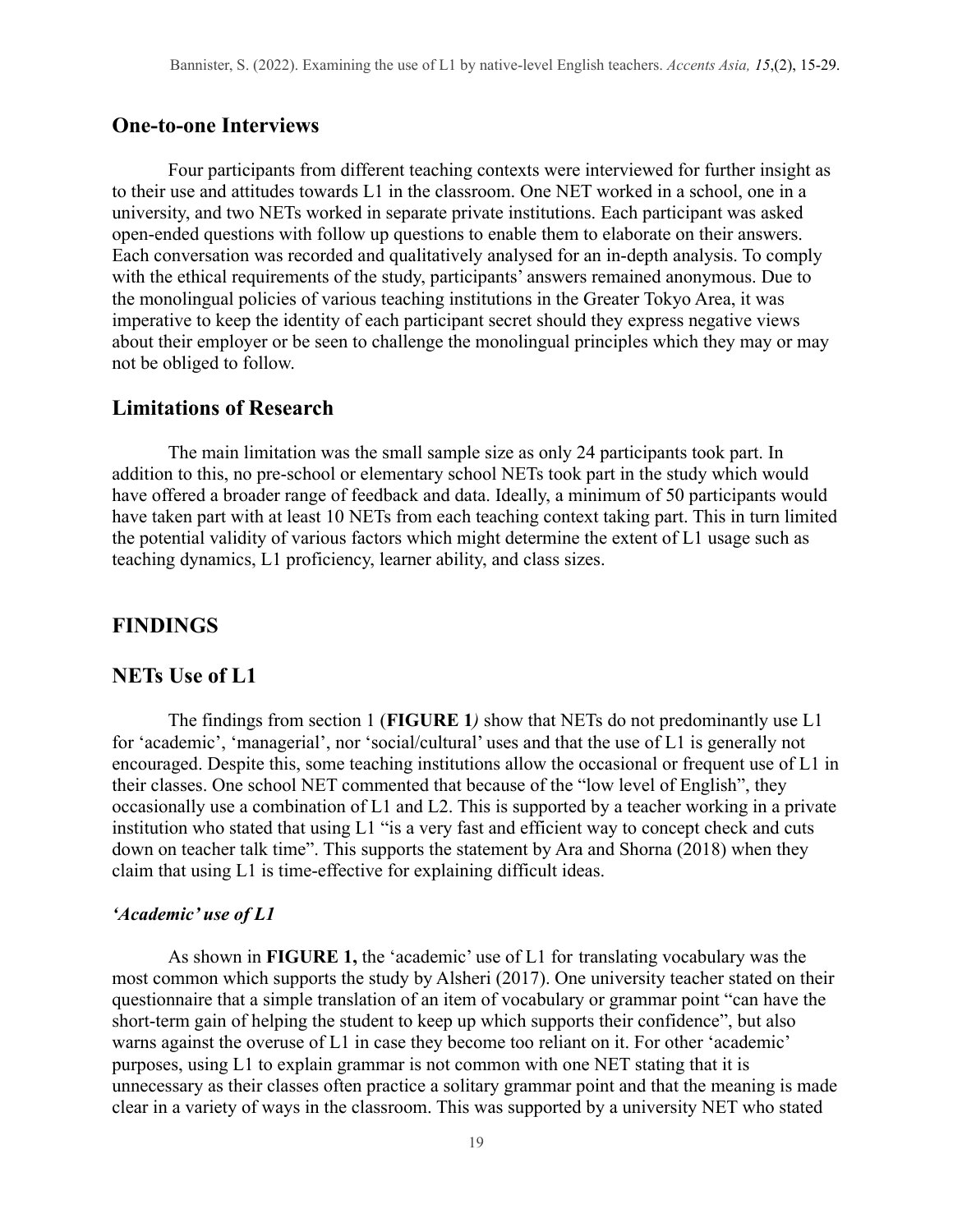### **One-to-one Interviews**

Four participants from different teaching contexts were interviewed for further insight as to their use and attitudes towards L1 in the classroom. One NET worked in a school, one in a university, and two NETs worked in separate private institutions. Each participant was asked open-ended questions with follow up questions to enable them to elaborate on their answers. Each conversation was recorded and qualitatively analysed for an in-depth analysis. To comply with the ethical requirements of the study, participants' answers remained anonymous. Due to the monolingual policies of various teaching institutions in the Greater Tokyo Area, it was imperative to keep the identity of each participant secret should they express negative views about their employer or be seen to challenge the monolingual principles which they may or may not be obliged to follow.

#### **Limitations of Research**

The main limitation was the small sample size as only 24 participants took part. In addition to this, no pre-school or elementary school NETs took part in the study which would have offered a broader range of feedback and data. Ideally, a minimum of 50 participants would have taken part with at least 10 NETs from each teaching context taking part. This in turn limited the potential validity of various factors which might determine the extent of L1 usage such as teaching dynamics, L1 proficiency, learner ability, and class sizes.

### **FINDINGS**

#### **NETs Use of L1**

The findings from section 1 (**FIGURE 1***)* show that NETs do not predominantly use L1 for 'academic', 'managerial', nor 'social/cultural' uses and that the use of L1 is generally not encouraged. Despite this, some teaching institutions allow the occasional or frequent use of L1 in their classes. One school NET commented that because of the "low level of English", they occasionally use a combination of L1 and L2. This is supported by a teacher working in a private institution who stated that using L1 "is a very fast and efficient way to concept check and cuts down on teacher talk time". This supports the statement by Ara and Shorna (2018) when they claim that using L1 is time-effective for explaining difficult ideas.

#### *'Academic' use of L1*

As shown in **FIGURE 1,** the 'academic' use of L1 for translating vocabulary was the most common which supports the study by Alsheri (2017). One university teacher stated on their questionnaire that a simple translation of an item of vocabulary or grammar point "can have the short-term gain of helping the student to keep up which supports their confidence", but also warns against the overuse of L1 in case they become too reliant on it. For other 'academic' purposes, using L1 to explain grammar is not common with one NET stating that it is unnecessary as their classes often practice a solitary grammar point and that the meaning is made clear in a variety of ways in the classroom. This was supported by a university NET who stated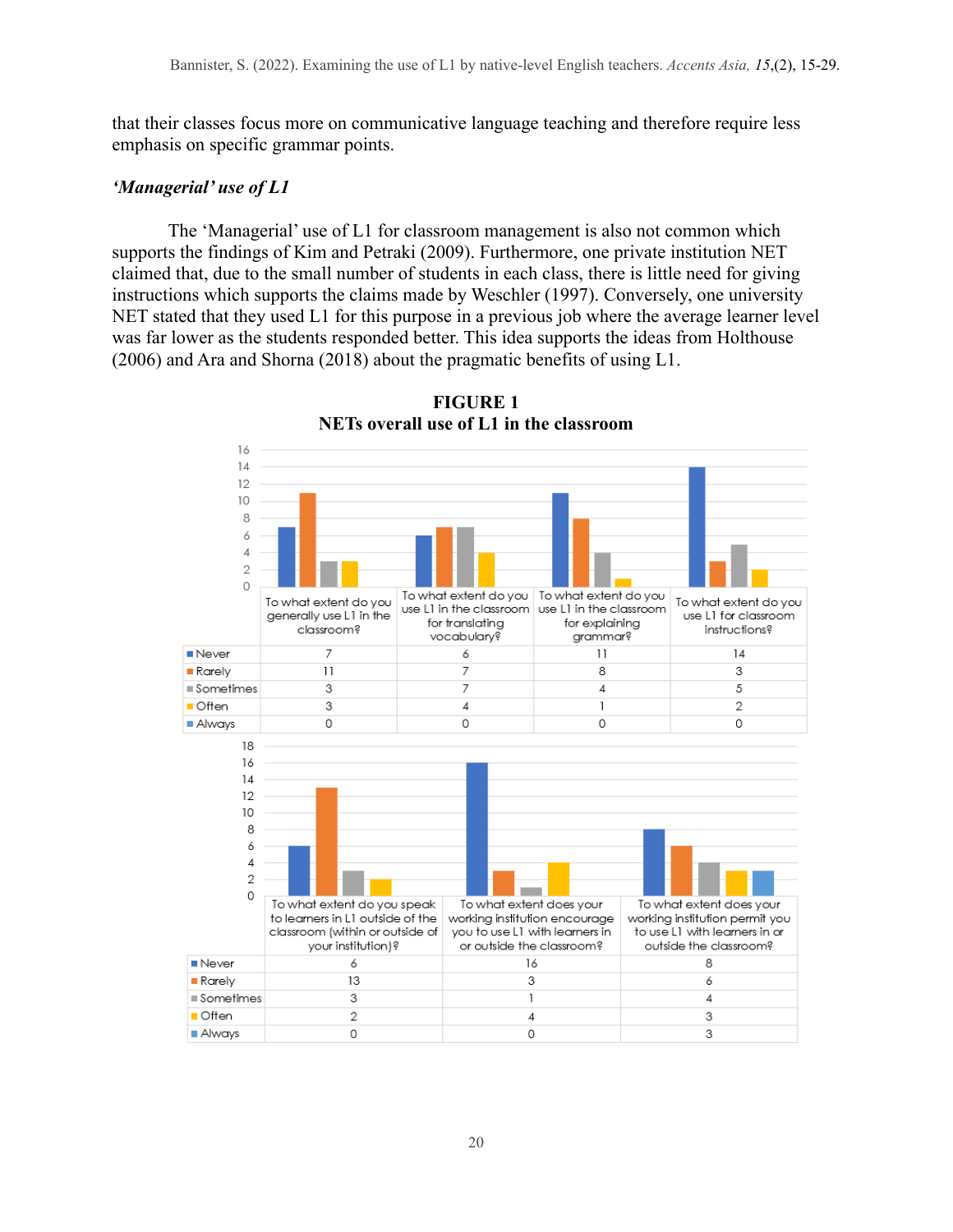that their classes focus more on communicative language teaching and therefore require less emphasis on specific grammar points.

#### *'Managerial' use of L1*

The 'Managerial' use of L1 for classroom management is also not common which supports the findings of Kim and Petraki (2009). Furthermore, one private institution NET claimed that, due to the small number of students in each class, there is little need for giving instructions which supports the claims made by Weschler (1997). Conversely, one university NET stated that they used L1 for this purpose in a previous job where the average learner level was far lower as the students responded better. This idea supports the ideas from Holthouse (2006) and Ara and Shorna (2018) about the pragmatic benefits of using L1.



**FIGURE 1 NETs overall use of L1 in the classroom**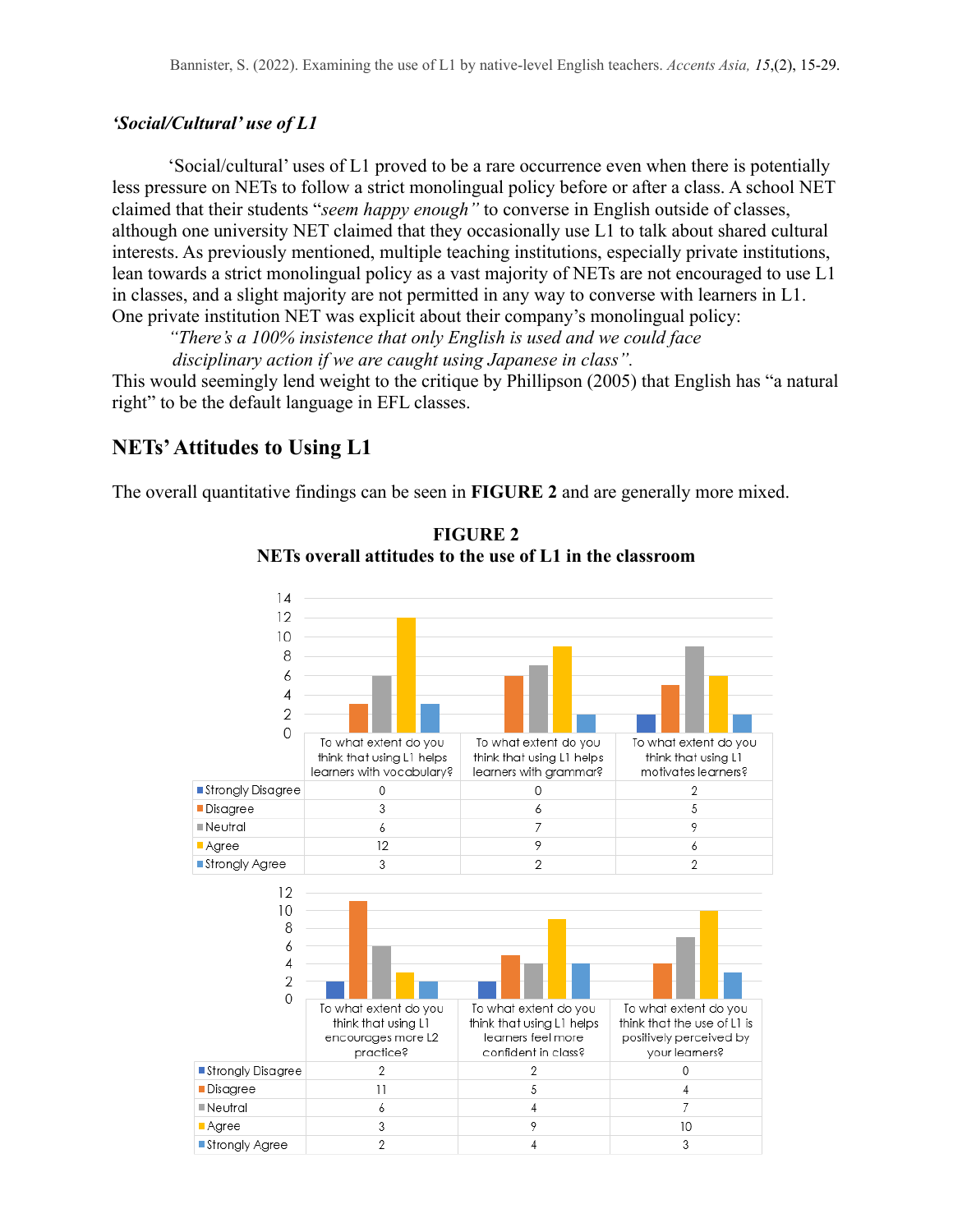#### *'Social/Cultural' use of L1*

'Social/cultural' uses of L1 proved to be a rare occurrence even when there is potentially less pressure on NETs to follow a strict monolingual policy before or after a class. A school NET claimed that their students "*seem happy enough"* to converse in English outside of classes, although one university NET claimed that they occasionally use L1 to talk about shared cultural interests. As previously mentioned, multiple teaching institutions, especially private institutions, lean towards a strict monolingual policy as a vast majority of NETs are not encouraged to use L1 in classes, and a slight majority are not permitted in any way to converse with learners in L1. One private institution NET was explicit about their company's monolingual policy:

*"There's a 100% insistence that only English is used and we could face disciplinary action if we are caught using Japanese in class".*

This would seemingly lend weight to the critique by Phillipson (2005) that English has "a natural right" to be the default language in EFL classes.

### **NETs'Attitudes to Using L1**

The overall quantitative findings can be seen in **FIGURE 2** and are generally more mixed.



**FIGURE 2 NETs overall attitudes to the use of L1 in the classroom**

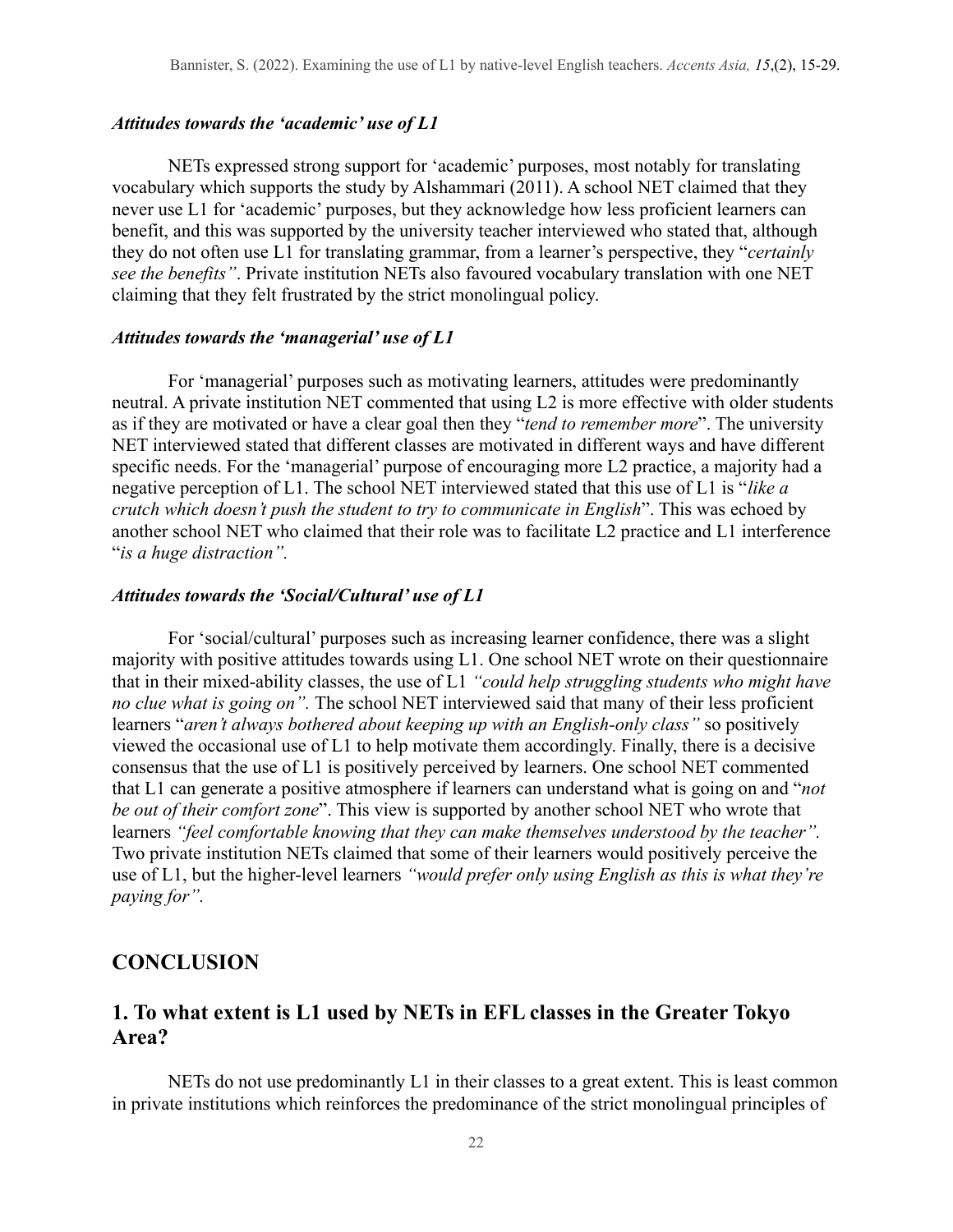#### *Attitudes towards the 'academic' use of L1*

NETs expressed strong support for 'academic' purposes, most notably for translating vocabulary which supports the study by Alshammari (2011). A school NET claimed that they never use L1 for 'academic' purposes, but they acknowledge how less proficient learners can benefit, and this was supported by the university teacher interviewed who stated that, although they do not often use L1 for translating grammar, from a learner's perspective, they "*certainly see the benefits"*. Private institution NETs also favoured vocabulary translation with one NET claiming that they felt frustrated by the strict monolingual policy.

#### *Attitudes towards the 'managerial' use of L1*

For 'managerial' purposes such as motivating learners, attitudes were predominantly neutral. A private institution NET commented that using L2 is more effective with older students as if they are motivated or have a clear goal then they "*tend to remember more*". The university NET interviewed stated that different classes are motivated in different ways and have different specific needs. For the 'managerial' purpose of encouraging more L2 practice, a majority had a negative perception of L1. The school NET interviewed stated that this use of L1 is "*like a crutch which doesn't push the student to try to communicate in English*". This was echoed by another school NET who claimed that their role was to facilitate L2 practice and L1 interference "*is a huge distraction".*

#### *Attitudes towards the 'Social/Cultural' use of L1*

For 'social/cultural' purposes such as increasing learner confidence, there was a slight majority with positive attitudes towards using L1. One school NET wrote on their questionnaire that in their mixed-ability classes, the use of L1 *"could help struggling students who might have no clue what is going on".* The school NET interviewed said that many of their less proficient learners "*aren't always bothered about keeping up with an English-only class"* so positively viewed the occasional use of L1 to help motivate them accordingly. Finally, there is a decisive consensus that the use of L1 is positively perceived by learners. One school NET commented that L1 can generate a positive atmosphere if learners can understand what is going on and "*not be out of their comfort zone*". This view is supported by another school NET who wrote that learners *"feel comfortable knowing that they can make themselves understood by the teacher".* Two private institution NETs claimed that some of their learners would positively perceive the use of L1, but the higher-level learners *"would prefer only using English as this is what they're paying for".*

#### **CONCLUSION**

## **1. To what extent is L1 used by NETs in EFL classes in the Greater Tokyo Area?**

NETs do not use predominantly L1 in their classes to a great extent. This is least common in private institutions which reinforces the predominance of the strict monolingual principles of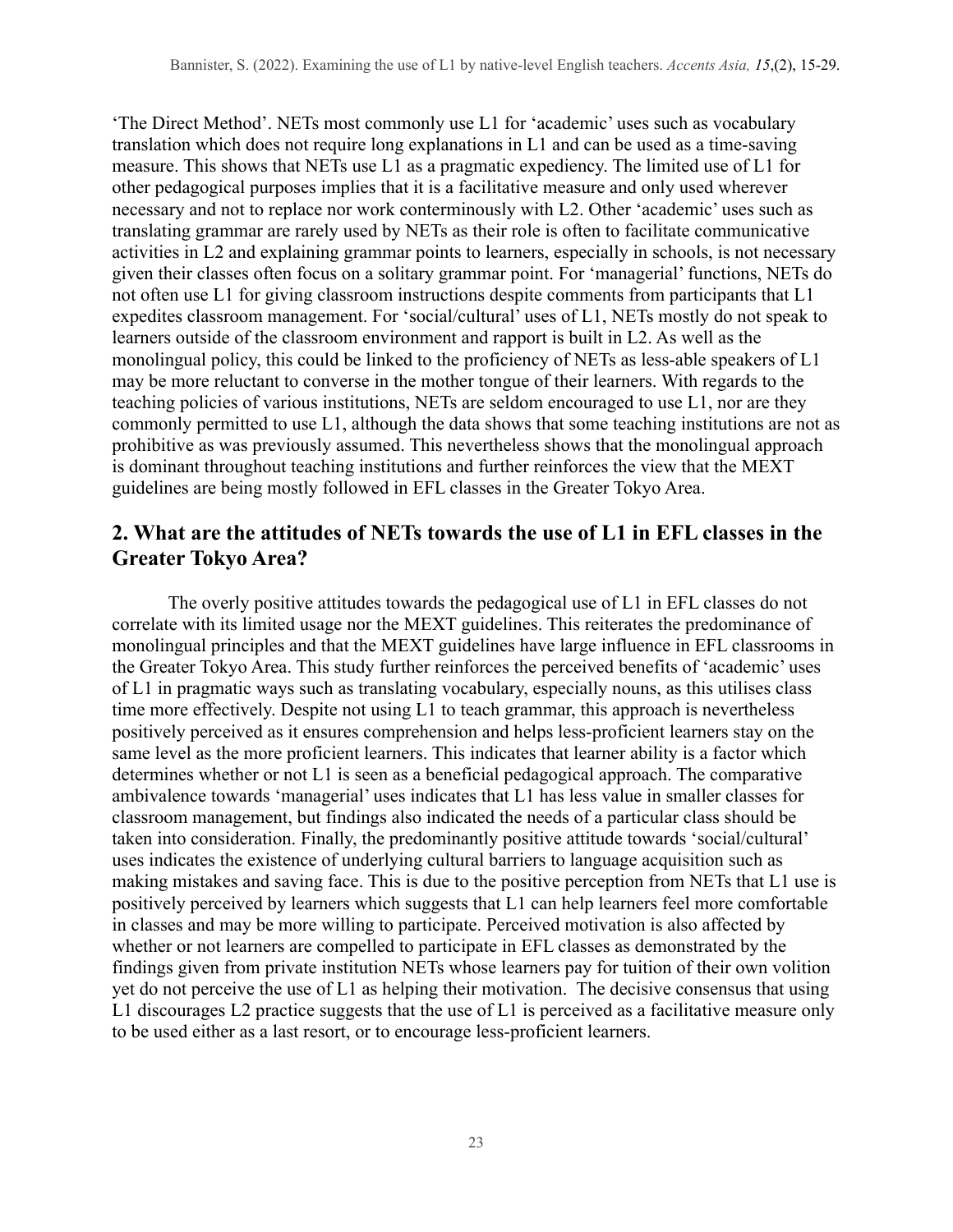'The Direct Method'. NETs most commonly use L1 for 'academic' uses such as vocabulary translation which does not require long explanations in L1 and can be used as a time-saving measure. This shows that NETs use L1 as a pragmatic expediency. The limited use of L1 for other pedagogical purposes implies that it is a facilitative measure and only used wherever necessary and not to replace nor work conterminously with L2. Other 'academic' uses such as translating grammar are rarely used by NETs as their role is often to facilitate communicative activities in L2 and explaining grammar points to learners, especially in schools, is not necessary given their classes often focus on a solitary grammar point. For 'managerial' functions, NETs do not often use L1 for giving classroom instructions despite comments from participants that L1 expedites classroom management. For 'social/cultural' uses of L1, NETs mostly do not speak to learners outside of the classroom environment and rapport is built in L2. As well as the monolingual policy, this could be linked to the proficiency of NETs as less-able speakers of L1 may be more reluctant to converse in the mother tongue of their learners. With regards to the teaching policies of various institutions, NETs are seldom encouraged to use L1, nor are they commonly permitted to use L1, although the data shows that some teaching institutions are not as prohibitive as was previously assumed. This nevertheless shows that the monolingual approach is dominant throughout teaching institutions and further reinforces the view that the MEXT guidelines are being mostly followed in EFL classes in the Greater Tokyo Area.

## **2. What are the attitudes of NETs towards the use of L1 in EFL classes in the Greater Tokyo Area?**

The overly positive attitudes towards the pedagogical use of L1 in EFL classes do not correlate with its limited usage nor the MEXT guidelines. This reiterates the predominance of monolingual principles and that the MEXT guidelines have large influence in EFL classrooms in the Greater Tokyo Area. This study further reinforces the perceived benefits of 'academic' uses of L1 in pragmatic ways such as translating vocabulary, especially nouns, as this utilises class time more effectively. Despite not using L1 to teach grammar, this approach is nevertheless positively perceived as it ensures comprehension and helps less-proficient learners stay on the same level as the more proficient learners. This indicates that learner ability is a factor which determines whether or not L1 is seen as a beneficial pedagogical approach. The comparative ambivalence towards 'managerial' uses indicates that L1 has less value in smaller classes for classroom management, but findings also indicated the needs of a particular class should be taken into consideration. Finally, the predominantly positive attitude towards 'social/cultural' uses indicates the existence of underlying cultural barriers to language acquisition such as making mistakes and saving face. This is due to the positive perception from NETs that L1 use is positively perceived by learners which suggests that L1 can help learners feel more comfortable in classes and may be more willing to participate. Perceived motivation is also affected by whether or not learners are compelled to participate in EFL classes as demonstrated by the findings given from private institution NETs whose learners pay for tuition of their own volition yet do not perceive the use of L1 as helping their motivation. The decisive consensus that using L1 discourages L2 practice suggests that the use of L1 is perceived as a facilitative measure only to be used either as a last resort, or to encourage less-proficient learners.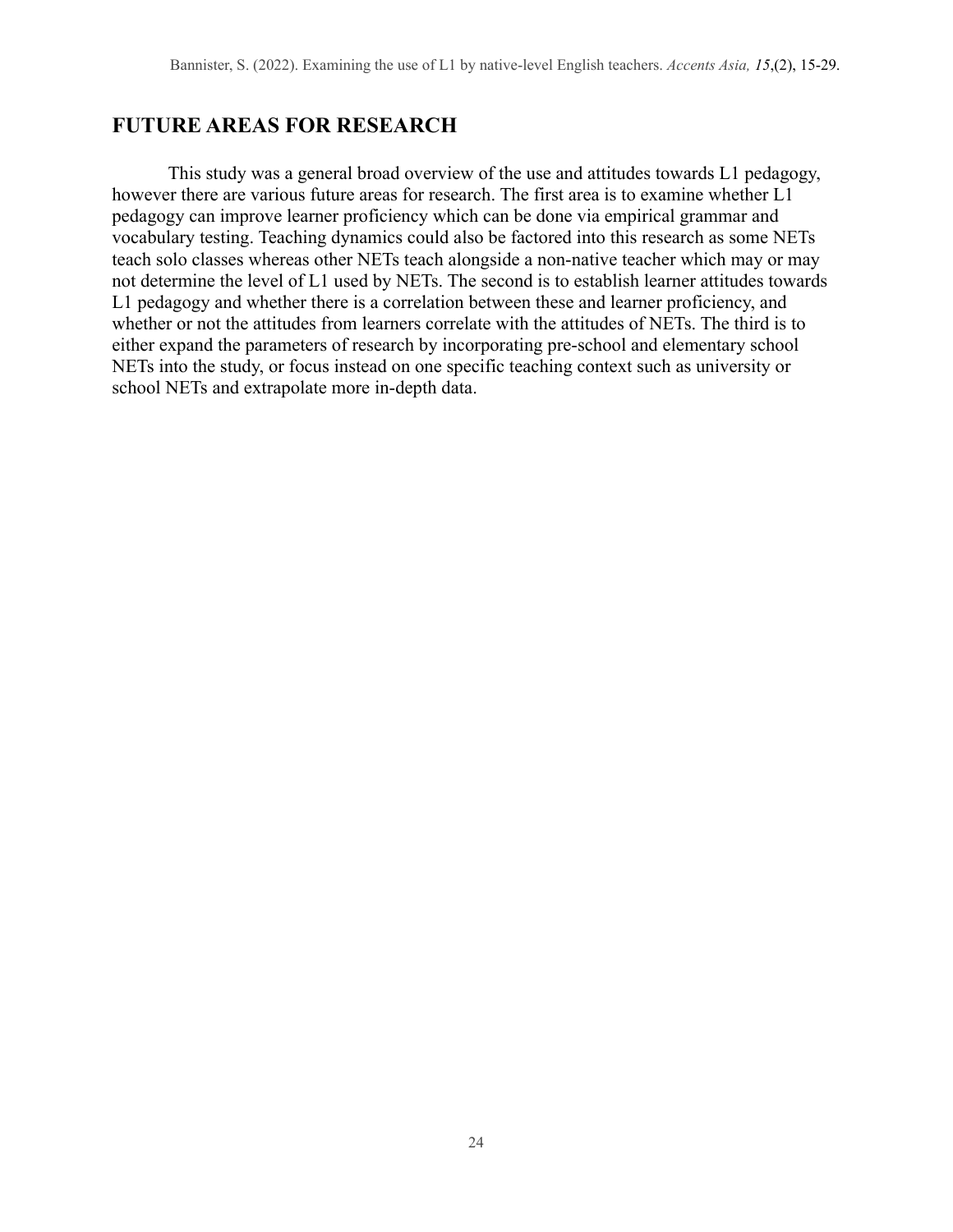## **FUTURE AREAS FOR RESEARCH**

This study was a general broad overview of the use and attitudes towards L1 pedagogy, however there are various future areas for research. The first area is to examine whether L1 pedagogy can improve learner proficiency which can be done via empirical grammar and vocabulary testing. Teaching dynamics could also be factored into this research as some NETs teach solo classes whereas other NETs teach alongside a non-native teacher which may or may not determine the level of L1 used by NETs. The second is to establish learner attitudes towards L1 pedagogy and whether there is a correlation between these and learner proficiency, and whether or not the attitudes from learners correlate with the attitudes of NETs. The third is to either expand the parameters of research by incorporating pre-school and elementary school NETs into the study, or focus instead on one specific teaching context such as university or school NETs and extrapolate more in-depth data.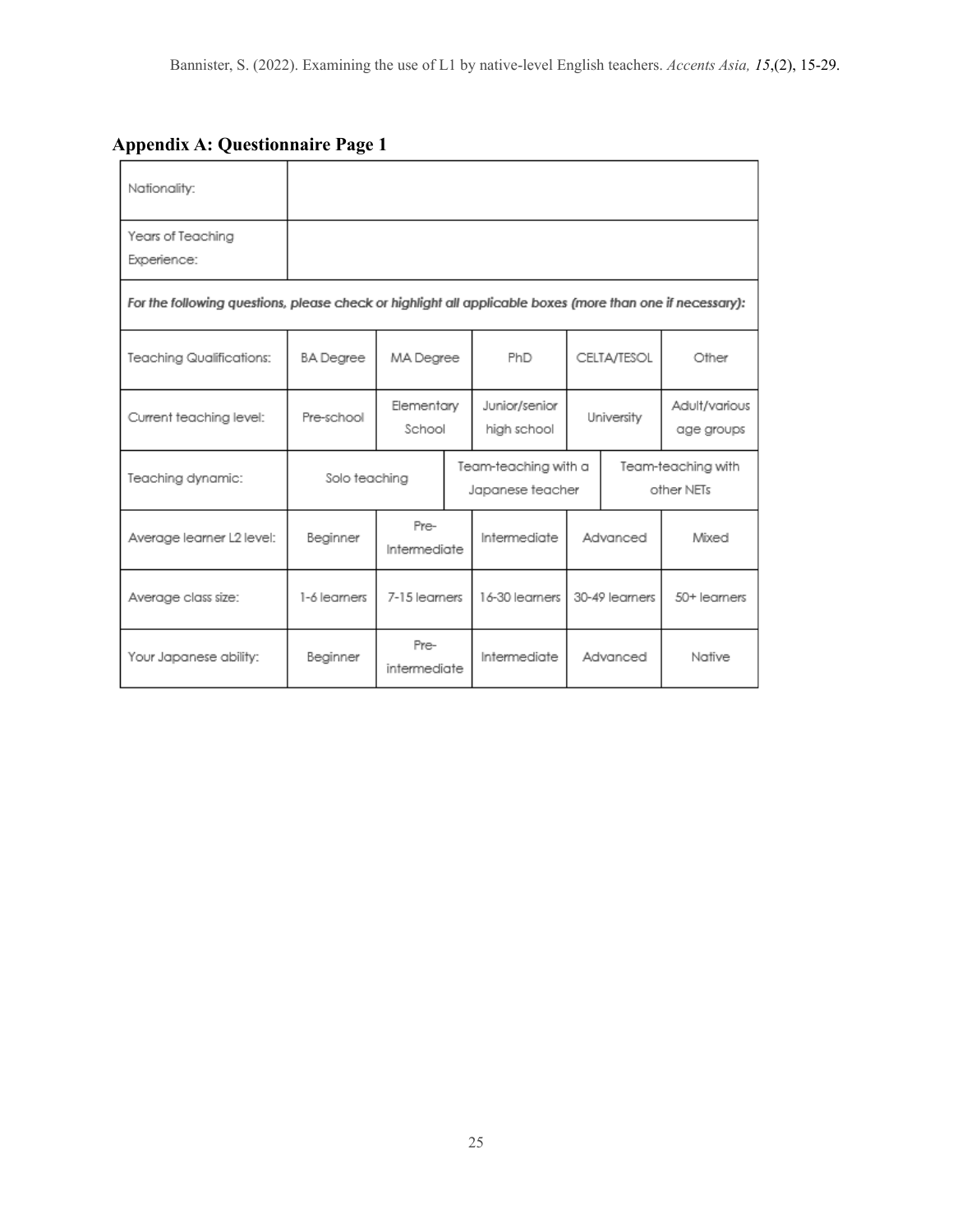## **Appendix A: Questionnaire Page 1**

| Nationality:                                                                                              |                  |                      |                                          |                              |                                  |  |                             |  |
|-----------------------------------------------------------------------------------------------------------|------------------|----------------------|------------------------------------------|------------------------------|----------------------------------|--|-----------------------------|--|
| Years of Teaching<br>Experience:                                                                          |                  |                      |                                          |                              |                                  |  |                             |  |
| For the following questions, please check or highlight all applicable boxes (more than one if necessary): |                  |                      |                                          |                              |                                  |  |                             |  |
| Teaching Qualifications:                                                                                  | <b>BA</b> Degree | MA Degree            |                                          | PhD                          | CELTA/TESOL                      |  | Other                       |  |
| Current teaching level:                                                                                   | Pre-school       | Elementary<br>School |                                          | Junior/senior<br>high school | University                       |  | Adult/various<br>age groups |  |
| Teaching dynamic:                                                                                         | Solo teaching    |                      | Team-teaching with a<br>Japanese teacher |                              | Team-teaching with<br>other NETs |  |                             |  |
| Average learner L2 level:                                                                                 | Beginner         | Pre-<br>Intermediate |                                          | Intermediate                 | Advanced                         |  | Mixed                       |  |
| Average class size:                                                                                       | 1-6 learners     | 7-15 learners        |                                          | 16-30 learners               | 30-49 learners                   |  | 50+ learners                |  |
| Your Japanese ability:                                                                                    | Beginner         | Pre-<br>intermediate |                                          | Intermediate                 | Advanced                         |  | Native                      |  |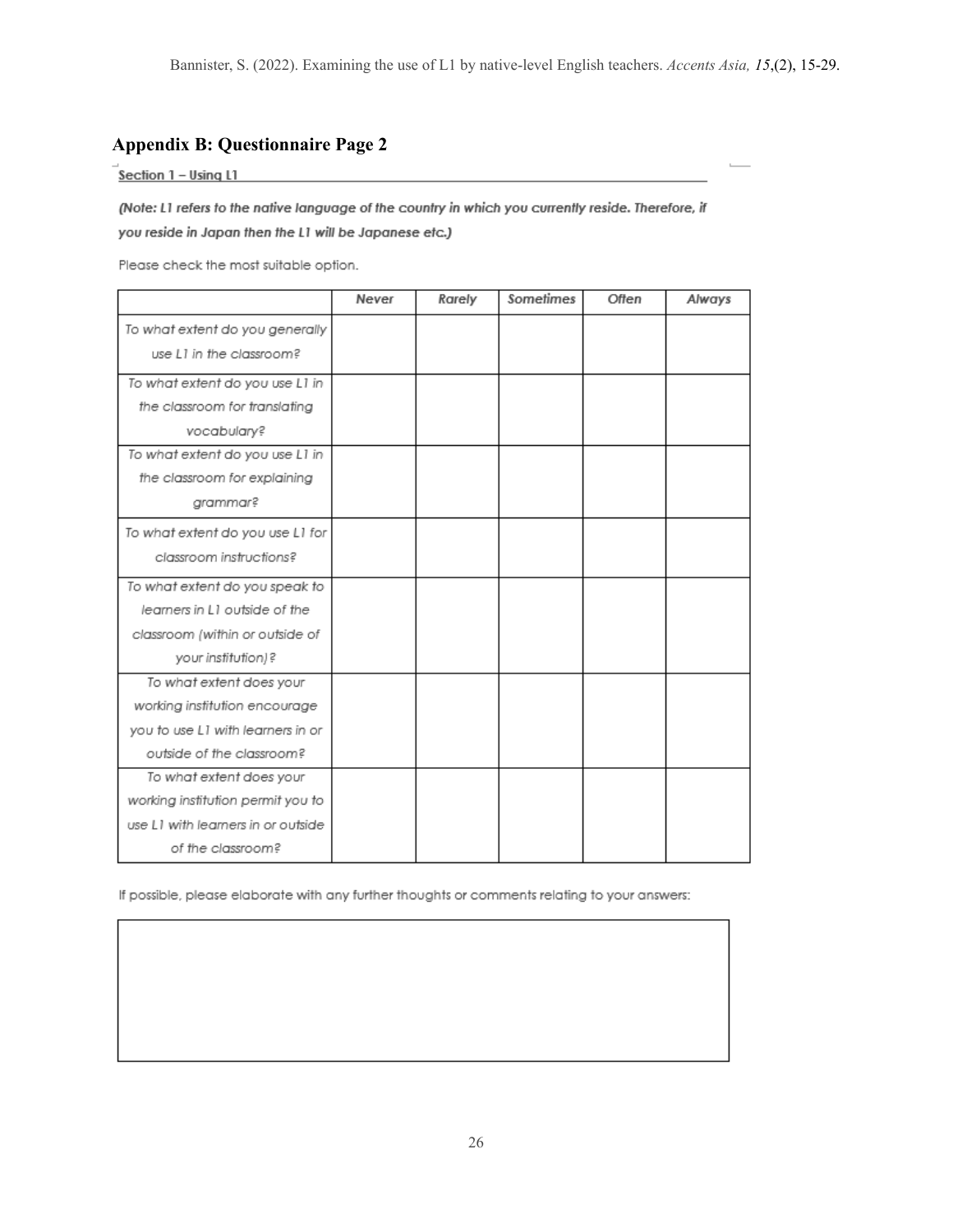### **Appendix B: Questionnaire Page 2**

 $\overline{\text{Section 1}}$  – Using L1

(Note: L1 refers to the native language of the country in which you currently reside. Therefore, if you reside in Japan then the L1 will be Japanese etc.)

Please check the most suitable option.

|                                    | Never | Rarely | Sometimes | Often | Always |
|------------------------------------|-------|--------|-----------|-------|--------|
| To what extent do you generally    |       |        |           |       |        |
| use L1 in the classroom?           |       |        |           |       |        |
| To what extent do you use L1 in    |       |        |           |       |        |
| the classroom for translating      |       |        |           |       |        |
| vocabulary?                        |       |        |           |       |        |
| To what extent do you use L1 in    |       |        |           |       |        |
| the classroom for explaining       |       |        |           |       |        |
| grammar?                           |       |        |           |       |        |
| To what extent do you use L1 for   |       |        |           |       |        |
| classroom instructions?            |       |        |           |       |        |
| To what extent do you speak to     |       |        |           |       |        |
| learners in L1 outside of the      |       |        |           |       |        |
| classroom (within or outside of    |       |        |           |       |        |
| your institution)?                 |       |        |           |       |        |
| To what extent does your           |       |        |           |       |        |
| working institution encourage      |       |        |           |       |        |
| you to use L1 with learners in or  |       |        |           |       |        |
| outside of the classroom?          |       |        |           |       |        |
| To what extent does your           |       |        |           |       |        |
| working institution permit you to  |       |        |           |       |        |
| use L1 with learners in or outside |       |        |           |       |        |
| of the classroom?                  |       |        |           |       |        |

If possible, please elaborate with any further thoughts or comments relating to your answers: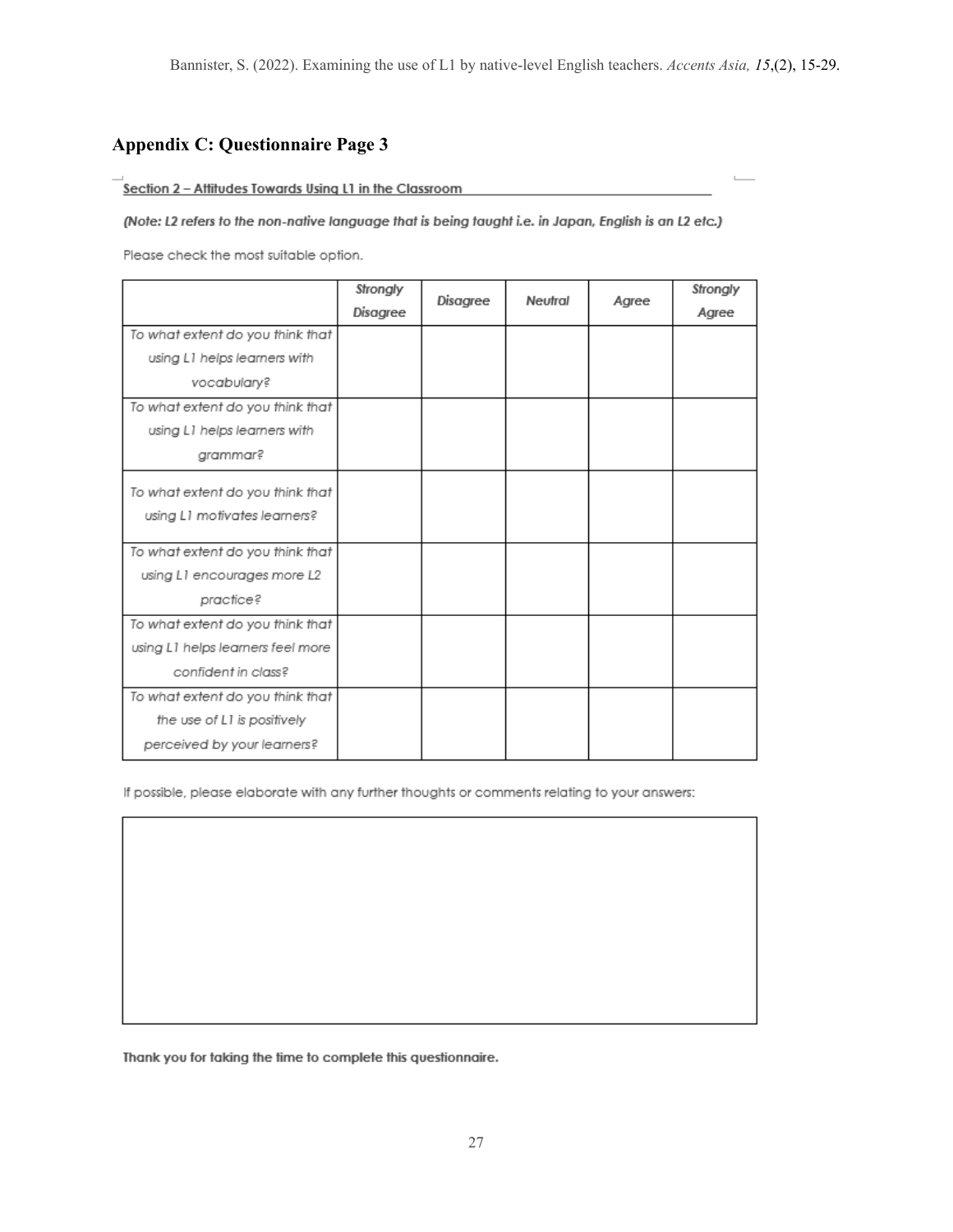$\mathbb L$ 

### **Appendix C: Questionnaire Page 3**

#### Section 2 - Attitudes Towards Using L1 in the Classroom

(Note: L2 refers to the non-native language that is being taught i.e. in Japan, English is an L2 etc.)

Please check the most suitable option.

|                                   | Strongly | Disagree | Neutral | Agree | Strongly |
|-----------------------------------|----------|----------|---------|-------|----------|
|                                   | Disagree |          |         |       | Agree    |
| To what extent do you think that  |          |          |         |       |          |
| using L1 helps learners with      |          |          |         |       |          |
| vocabulary?                       |          |          |         |       |          |
| To what extent do you think that  |          |          |         |       |          |
| using L1 helps learners with      |          |          |         |       |          |
| grammar?                          |          |          |         |       |          |
| To what extent do you think that  |          |          |         |       |          |
| using L1 motivates learners?      |          |          |         |       |          |
|                                   |          |          |         |       |          |
| To what extent do you think that  |          |          |         |       |          |
| using L1 encourages more L2       |          |          |         |       |          |
| practice?                         |          |          |         |       |          |
| To what extent do you think that  |          |          |         |       |          |
| using L1 helps learners feel more |          |          |         |       |          |
| confident in class?               |          |          |         |       |          |
| To what extent do you think that  |          |          |         |       |          |
| the use of L1 is positively       |          |          |         |       |          |
| perceived by your learners?       |          |          |         |       |          |

If possible, please elaborate with any further thoughts or comments relating to your answers:

Thank you for taking the time to complete this questionnaire.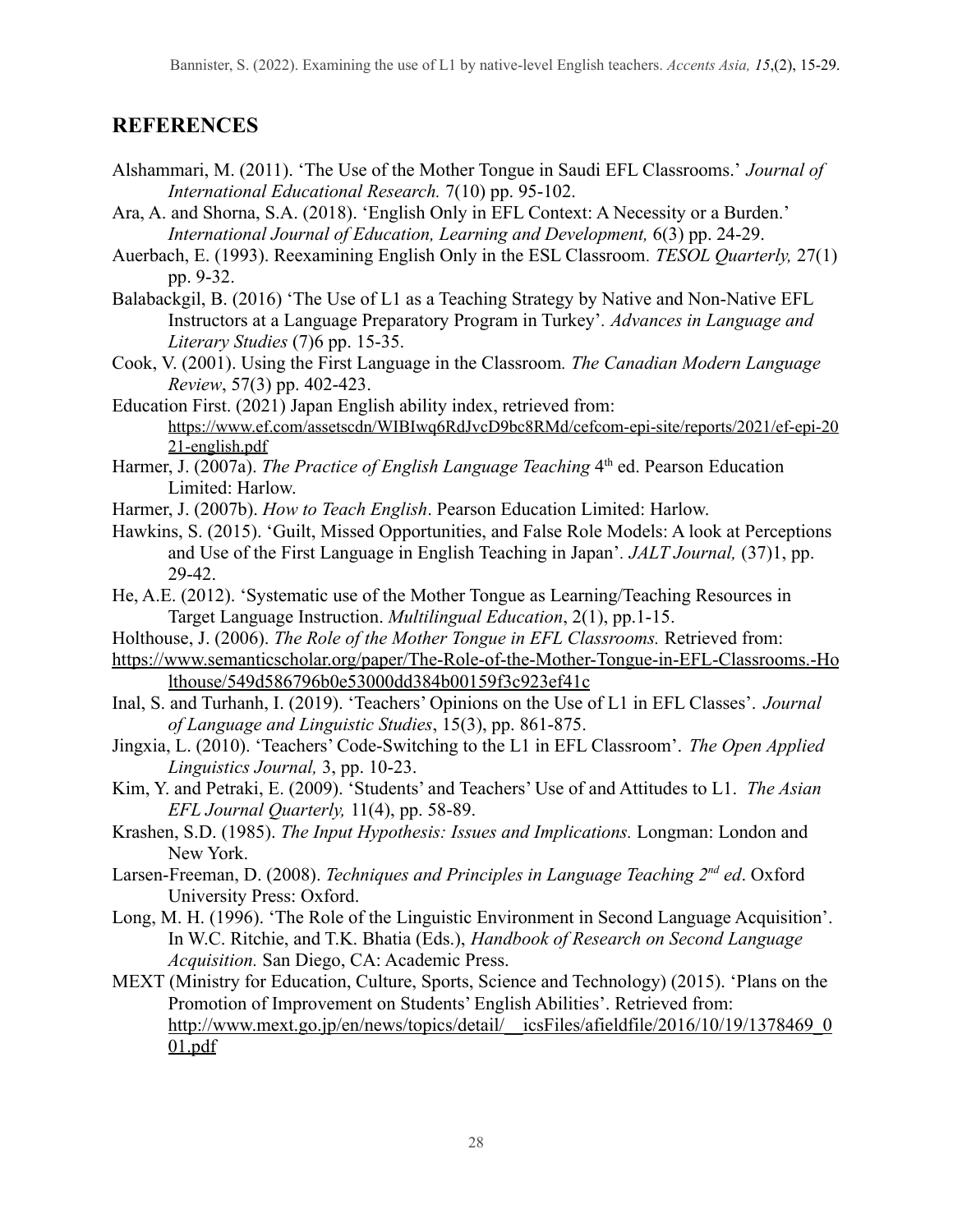# **REFERENCES**

- Alshammari, M. (2011). 'The Use of the Mother Tongue in Saudi EFL Classrooms.' *Journal of International Educational Research.* 7(10) pp. 95-102.
- Ara, A. and Shorna, S.A. (2018). 'English Only in EFL Context: A Necessity or a Burden.' *International Journal of Education, Learning and Development,* 6(3) pp. 24-29.
- Auerbach, E. (1993). Reexamining English Only in the ESL Classroom*. TESOL Quarterly,* 27(1) pp. 9-32.
- Balabackgil, B. (2016) 'The Use of L1 as a Teaching Strategy by Native and Non-Native EFL Instructors at a Language Preparatory Program in Turkey'*. Advances in Language and Literary Studies* (7)6 pp. 15-35.
- Cook, V. (2001). Using the First Language in the Classroom*. The Canadian Modern Language Review*, 57(3) pp. 402-423.
- Education First. (2021) Japan English ability index, retrieved from: [https://www.ef.com/assetscdn/WIBIwq6RdJvcD9bc8RMd/cefcom-epi-site/reports/2021/ef-epi-20](https://www.ef.com/assetscdn/WIBIwq6RdJvcD9bc8RMd/cefcom-epi-site/reports/2021/ef-epi-2021-english.pdf) [21-english.pdf](https://www.ef.com/assetscdn/WIBIwq6RdJvcD9bc8RMd/cefcom-epi-site/reports/2021/ef-epi-2021-english.pdf)
- Harmer, J. (2007a). *The Practice of English Language Teaching* 4<sup>th</sup> ed. Pearson Education Limited: Harlow.
- Harmer, J. (2007b). *How to Teach English*. Pearson Education Limited: Harlow.
- Hawkins, S. (2015). 'Guilt, Missed Opportunities, and False Role Models: A look at Perceptions and Use of the First Language in English Teaching in Japan'*. JALT Journal,* (37)1, pp. 29-42.
- He, A.E. (2012). 'Systematic use of the Mother Tongue as Learning/Teaching Resources in Target Language Instruction. *Multilingual Education*, 2(1), pp.1-15.
- Holthouse, J. (2006). *The Role of the Mother Tongue in EFL Classrooms.* Retrieved from:
- [https://www.semanticscholar.org/paper/The-Role-of-the-Mother-Tongue-in-EFL-Classrooms.-Ho](https://www.semanticscholar.org/paper/The-Role-of-the-Mother-Tongue-in-EFL-Classrooms.-Holthouse/549d586796b0e53000dd384b00159f3c923ef41c) [lthouse/549d586796b0e53000dd384b00159f3c923ef41c](https://www.semanticscholar.org/paper/The-Role-of-the-Mother-Tongue-in-EFL-Classrooms.-Holthouse/549d586796b0e53000dd384b00159f3c923ef41c)
- Inal, S. and Turhanh, I. (2019). 'Teachers' Opinions on the Use of L1 in EFL Classes'. *Journal of Language and Linguistic Studies*, 15(3), pp. 861-875.
- Jingxia, L. (2010). 'Teachers' Code-Switching to the L1 in EFL Classroom'. *The Open Applied Linguistics Journal,* 3, pp. 10-23.
- Kim, Y. and Petraki, E. (2009). 'Students' and Teachers' Use of and Attitudes to L1. *The Asian EFL Journal Quarterly,* 11(4), pp. 58-89.
- Krashen, S.D. (1985). *The Input Hypothesis: Issues and Implications.* Longman: London and New York.
- Larsen-Freeman, D. (2008). *Techniques and Principles in Language Teaching 2nd ed*. Oxford University Press: Oxford.
- Long, M. H. (1996). 'The Role of the Linguistic Environment in Second Language Acquisition'. In W.C. Ritchie, and T.K. Bhatia (Eds.), *Handbook of Research on Second Language Acquisition.* San Diego, CA: Academic Press.
- MEXT (Ministry for Education, Culture, Sports, Science and Technology) (2015). 'Plans on the Promotion of Improvement on Students' English Abilities'. Retrieved from: http://www.mext.go.jp/en/news/topics/detail/ icsFiles/afieldfile/2016/10/19/1378469\_0 [01.pdf](http://www.mext.go.jp/en/news/topics/detail/__icsFiles/afieldfile/2016/10/19/1378469_001.pdf)